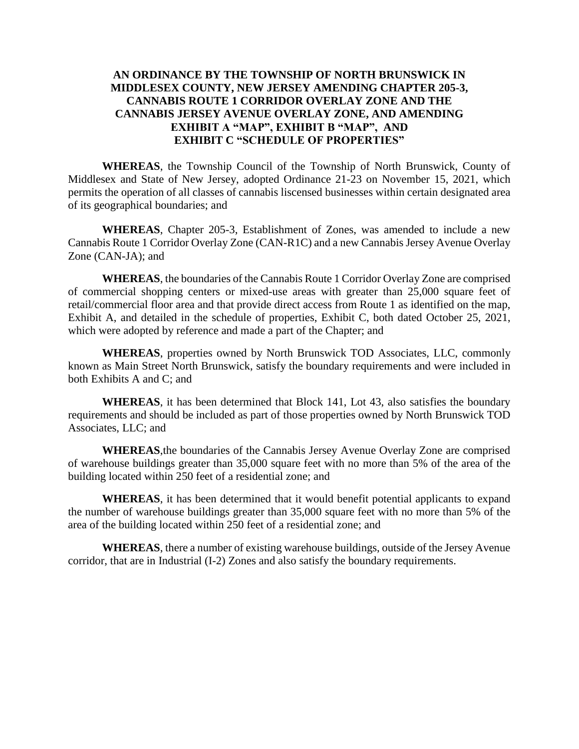# **AN ORDINANCE BY THE TOWNSHIP OF NORTH BRUNSWICK IN MIDDLESEX COUNTY, NEW JERSEY AMENDING CHAPTER 205-3, CANNABIS ROUTE 1 CORRIDOR OVERLAY ZONE AND THE CANNABIS JERSEY AVENUE OVERLAY ZONE, AND AMENDING EXHIBIT A "MAP", EXHIBIT B "MAP", AND EXHIBIT C "SCHEDULE OF PROPERTIES"**

**WHEREAS**, the Township Council of the Township of North Brunswick, County of Middlesex and State of New Jersey, adopted Ordinance 21-23 on November 15, 2021, which permits the operation of all classes of cannabis liscensed businesses within certain designated area of its geographical boundaries; and

**WHEREAS**, Chapter 205-3, Establishment of Zones, was amended to include a new Cannabis Route 1 Corridor Overlay Zone (CAN-R1C) and a new Cannabis Jersey Avenue Overlay Zone (CAN-JA); and

**WHEREAS**, the boundaries of the Cannabis Route 1 Corridor Overlay Zone are comprised of commercial shopping centers or mixed-use areas with greater than 25,000 square feet of retail/commercial floor area and that provide direct access from Route 1 as identified on the map, Exhibit A, and detailed in the schedule of properties, Exhibit C, both dated October 25, 2021, which were adopted by reference and made a part of the Chapter; and

**WHEREAS**, properties owned by North Brunswick TOD Associates, LLC, commonly known as Main Street North Brunswick, satisfy the boundary requirements and were included in both Exhibits A and C; and

**WHEREAS**, it has been determined that Block 141, Lot 43, also satisfies the boundary requirements and should be included as part of those properties owned by North Brunswick TOD Associates, LLC; and

**WHEREAS**,the boundaries of the Cannabis Jersey Avenue Overlay Zone are comprised of warehouse buildings greater than 35,000 square feet with no more than 5% of the area of the building located within 250 feet of a residential zone; and

**WHEREAS**, it has been determined that it would benefit potential applicants to expand the number of warehouse buildings greater than 35,000 square feet with no more than 5% of the area of the building located within 250 feet of a residential zone; and

**WHEREAS**, there a number of existing warehouse buildings, outside of the Jersey Avenue corridor, that are in Industrial (I-2) Zones and also satisfy the boundary requirements.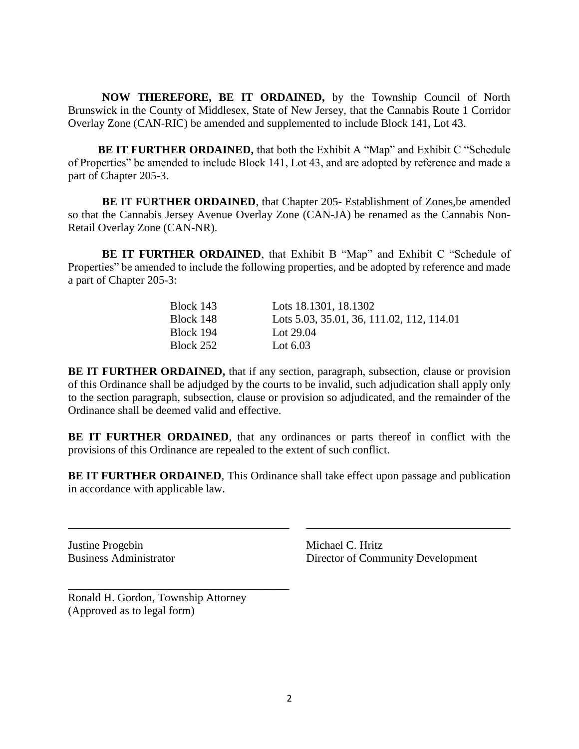**NOW THEREFORE, BE IT ORDAINED,** by the Township Council of North Brunswick in the County of Middlesex, State of New Jersey, that the Cannabis Route 1 Corridor Overlay Zone (CAN-RIC) be amended and supplemented to include Block 141, Lot 43.

**BE IT FURTHER ORDAINED,** that both the Exhibit A "Map" and Exhibit C "Schedule of Properties" be amended to include Block 141, Lot 43, and are adopted by reference and made a part of Chapter 205-3.

**BE IT FURTHER ORDAINED**, that Chapter 205- Establishment of Zones,be amended so that the Cannabis Jersey Avenue Overlay Zone (CAN-JA) be renamed as the Cannabis Non-Retail Overlay Zone (CAN-NR).

**BE IT FURTHER ORDAINED**, that Exhibit B "Map" and Exhibit C "Schedule of Properties" be amended to include the following properties, and be adopted by reference and made a part of Chapter 205-3:

| Block 143 | Lots 18.1301, 18.1302                     |
|-----------|-------------------------------------------|
| Block 148 | Lots 5.03, 35.01, 36, 111.02, 112, 114.01 |
| Block 194 | Lot $29.04$                               |
| Block 252 | Lot $6.03$                                |

**BE IT FURTHER ORDAINED,** that if any section, paragraph, subsection, clause or provision of this Ordinance shall be adjudged by the courts to be invalid, such adjudication shall apply only to the section paragraph, subsection, clause or provision so adjudicated, and the remainder of the Ordinance shall be deemed valid and effective.

**BE IT FURTHER ORDAINED**, that any ordinances or parts thereof in conflict with the provisions of this Ordinance are repealed to the extent of such conflict.

**BE IT FURTHER ORDAINED**, This Ordinance shall take effect upon passage and publication in accordance with applicable law.

\_\_\_\_\_\_\_\_\_\_\_\_\_\_\_\_\_\_\_\_\_\_\_\_\_\_\_\_\_\_\_\_\_\_\_\_\_\_\_ \_\_\_\_\_\_\_\_\_\_\_\_\_\_\_\_\_\_\_\_\_\_\_\_\_\_\_\_\_\_\_\_\_\_\_\_

Justine Progebin Michael C. Hritz

Business Administrator Director of Community Development

Ronald H. Gordon, Township Attorney (Approved as to legal form)

\_\_\_\_\_\_\_\_\_\_\_\_\_\_\_\_\_\_\_\_\_\_\_\_\_\_\_\_\_\_\_\_\_\_\_\_\_\_\_